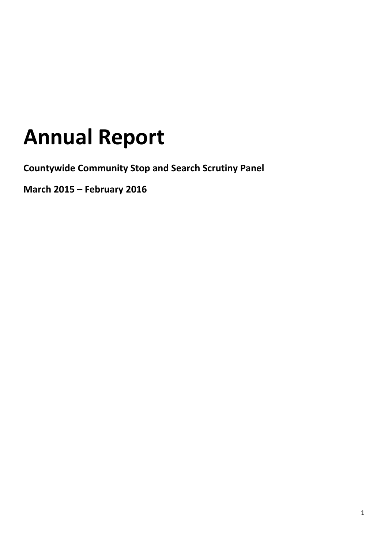# **Annual Report**

**Countywide Community Stop and Search Scrutiny Panel**

**March 2015 – February 2016**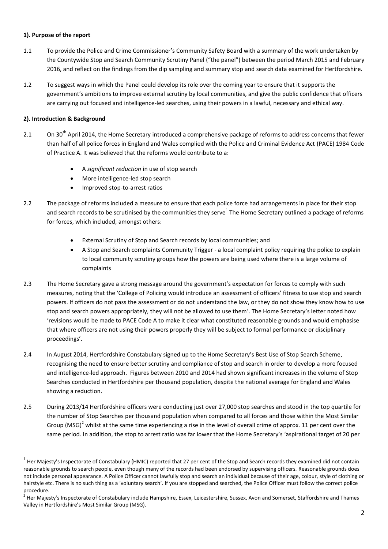## **1). Purpose of the report**

- 1.1 To provide the Police and Crime Commissioner's Community Safety Board with a summary of the work undertaken by the Countywide Stop and Search Community Scrutiny Panel ("the panel") between the period March 2015 and February 2016, and reflect on the findings from the dip sampling and summary stop and search data examined for Hertfordshire.
- 1.2 To suggest ways in which the Panel could develop its role over the coming year to ensure that it supports the government's ambitions to improve external scrutiny by local communities, and give the public confidence that officers are carrying out focused and intelligence-led searches, using their powers in a lawful, necessary and ethical way.

## **2). Introduction & Background**

**.** 

- 2.1 On 30<sup>th</sup> April 2014, the Home Secretary introduced a comprehensive package of reforms to address concerns that fewer than half of all police forces in England and Wales complied with the Police and Criminal Evidence Act (PACE) 1984 Code of Practice A. It was believed that the reforms would contribute to a:
	- A *significant reduction* in use of stop search
	- More intelligence-led stop search
	- Improved stop-to-arrest ratios
- 2.2 The package of reforms included a measure to ensure that each police force had arrangements in place for their stop and search records to be scrutinised by the communities they serve<sup>1</sup> The Home Secretary outlined a package of reforms for forces, which included, amongst others:
	- External Scrutiny of Stop and Search records by local communities; and
	- A Stop and Search complaints Community Trigger a local complaint policy requiring the police to explain to local community scrutiny groups how the powers are being used where there is a large volume of complaints
- 2.3 The Home Secretary gave a strong message around the government's expectation for forces to comply with such measures, noting that the 'College of Policing would introduce an assessment of officers' fitness to use stop and search powers. If officers do not pass the assessment or do not understand the law, or they do not show they know how to use stop and search powers appropriately, they will not be allowed to use them'. The Home Secretary's letter noted how 'revisions would be made to PACE Code A to make it clear what constituted reasonable grounds and would emphasise that where officers are not using their powers properly they will be subject to formal performance or disciplinary proceedings'.
- 2.4 In August 2014, Hertfordshire Constabulary signed up to the Home Secretary's Best Use of Stop Search Scheme, recognising the need to ensure better scrutiny and compliance of stop and search in order to develop a more focused and intelligence-led approach. Figures between 2010 and 2014 had shown significant increases in the volume of Stop Searches conducted in Hertfordshire per thousand population, despite the national average for England and Wales showing a reduction.
- 2.5 During 2013/14 Hertfordshire officers were conducting just over 27,000 stop searches and stood in the top quartile for the number of Stop Searches per thousand population when compared to all forces and those within the Most Similar Group (MSG)<sup>2</sup> whilst at the same time experiencing a rise in the level of overall crime of approx. 11 per cent over the same period. In addition, the stop to arrest ratio was far lower that the Home Secretary's 'aspirational target of 20 per

 $^1$  Her Majesty's Inspectorate of Constabulary (HMIC) reported that 27 per cent of the Stop and Search records they examined did not contain reasonable grounds to search people, even though many of the records had been endorsed by supervising officers. Reasonable grounds does not include personal appearance. A Police Officer cannot lawfully stop and search an individual because of their age, colour, style of clothing or hairstyle etc. There is no such thing as a 'voluntary search'. If you are stopped and searched, the Police Officer must follow the correct police procedure.

<sup>&</sup>lt;sup>2</sup> Her Majesty's Inspectorate of Constabulary include Hampshire, Essex, Leicestershire, Sussex, Avon and Somerset, Staffordshire and Thames Valley in Hertfordshire's Most Similar Group (MSG).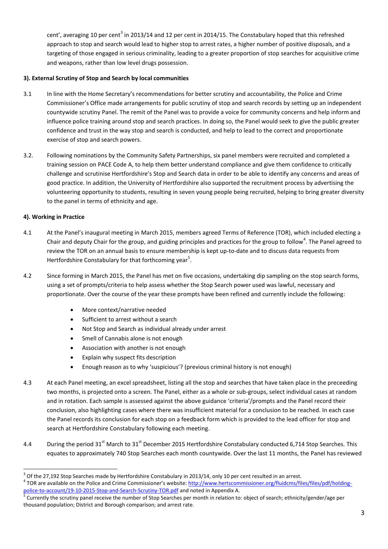cent', averaging 10 per cent<sup>3</sup> in 2013/14 and 12 per cent in 2014/15. The Constabulary hoped that this refreshed approach to stop and search would lead to higher stop to arrest rates, a higher number of positive disposals, and a targeting of those engaged in serious criminality, leading to a greater proportion of stop searches for acquisitive crime and weapons, rather than low level drugs possession.

## **3). External Scrutiny of Stop and Search by local communities**

- 3.1 In line with the Home Secretary's recommendations for better scrutiny and accountability, the Police and Crime Commissioner's Office made arrangements for public scrutiny of stop and search records by setting up an independent countywide scrutiny Panel. The remit of the Panel was to provide a voice for community concerns and help inform and influence police training around stop and search practices. In doing so, the Panel would seek to give the public greater confidence and trust in the way stop and search is conducted, and help to lead to the correct and proportionate exercise of stop and search powers.
- 3.2. Following nominations by the Community Safety Partnerships, six panel members were recruited and completed a training session on PACE Code A, to help them better understand compliance and give them confidence to critically challenge and scrutinise Hertfordshire's Stop and Search data in order to be able to identify any concerns and areas of good practice. In addition, the University of Hertfordshire also supported the recruitment process by advertising the volunteering opportunity to students, resulting in seven young people being recruited, helping to bring greater diversity to the panel in terms of ethnicity and age.

## **4). Working in Practice**

**.** 

- 4.1 At the Panel's inaugural meeting in March 2015, members agreed Terms of Reference (TOR), which included electing a Chair and deputy Chair for the group, and guiding principles and practices for the group to follow<sup>4</sup>. The Panel agreed to review the TOR on an annual basis to ensure membership is kept up-to-date and to discuss data requests from Hertfordshire Constabulary for that forthcoming year<sup>5</sup>.
- 4.2 Since forming in March 2015, the Panel has met on five occasions, undertaking dip sampling on the stop search forms, using a set of prompts/criteria to help assess whether the Stop Search power used was lawful, necessary and proportionate. Over the course of the year these prompts have been refined and currently include the following:
	- More context/narrative needed
	- Sufficient to arrest without a search
	- Not Stop and Search as individual already under arrest
	- Smell of Cannabis alone is not enough
	- Association with another is not enough
	- Explain why suspect fits description
	- Enough reason as to why 'suspicious'? (previous criminal history is not enough)
- 4.3 At each Panel meeting, an excel spreadsheet, listing all the stop and searches that have taken place in the preceeding two months, is projected onto a screen. The Panel, either as a whole or sub-groups, select individual cases at random and in rotation. Each sample is assessed against the above guidance 'criteria'/prompts and the Panel record their conclusion, also highlighting cases where there was insufficient material for a conclusion to be reached. In each case the Panel records its conclusion for each stop on a feedback form which is provided to the lead officer for stop and search at Hertfordshire Constabulary following each meeting.
- 4.4 During the period  $31^{st}$  March to  $31^{st}$  December 2015 Hertfordshire Constabulary conducted 6,714 Stop Searches. This equates to approximately 740 Stop Searches each month countywide. Over the last 11 months, the Panel has reviewed

 $3$  Of the 27,192 Stop Searches made by Hertfordshire Constabulary in 2013/14, only 10 per cent resulted in an arrest. <sup>4</sup> TOR are available on the Police and Crime Commissioner's website: [http://www.hertscommissioner.org/fluidcms/files/files/pdf/holding-](http://www.hertscommissioner.org/fluidcms/files/files/pdf/holding-police-to-account/19-10-2015-Stop-and-Search-Scrutiny-TOR.pdf)

[police-to-account/19-10-2015-Stop-and-Search-Scrutiny-TOR.pdf](http://www.hertscommissioner.org/fluidcms/files/files/pdf/holding-police-to-account/19-10-2015-Stop-and-Search-Scrutiny-TOR.pdf) and noted in Appendix A.<br><sup>5</sup> Currently the scrutiny panel receive the number of Stop Searches per month in relation to: object of search; ethnicity/gender/age p thousand population; District and Borough comparison; and arrest rate.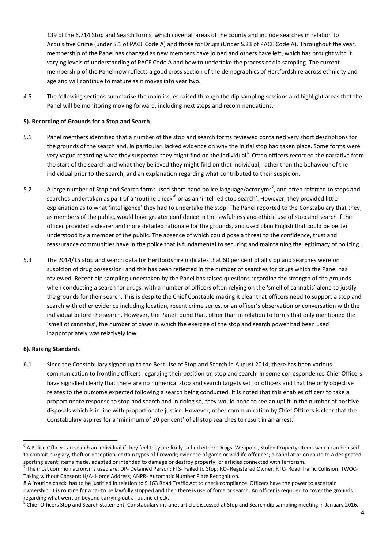139 of the 6,714 Stop and Search forms, which cover all areas of the county and include searches in relation to Acquisitive Crime (under S.1 of PACE Code A) and those for Drugs (Under S.23 of PACE Code A). Throughout the year, membership of the Panel has changed as new members have joined and others have left, which has brought with it varying levels of understanding of PACE Code A and how to undertake the process of dip sampling. The current membership of the Panel now reflects a good cross section of the demographics of Hertfordshire across ethnicity and age and will continue to mature as it moves into year two.

4.5 The following sections summarise the main issues raised through the dip sampling sessions and highlight areas that the Panel will be monitoring moving forward, including next steps and recommendations.

#### **5). Recording of Grounds for a Stop and Search**

- 5.1 Panel members identified that a number of the stop and search forms reviewed contained very short descriptions for the grounds of the search and, in particular, lacked evidence on why the initial stop had taken place. Some forms were very vague regarding what they suspected they might find on the individual<sup>6</sup>. Often officers recorded the narrative from the start of the search and what they believed they might find on that individual, rather than the behaviour of the individual prior to the search, and an explanation regarding what contributed to their suspicion.
- 5.2  $\blacksquare$  A large number of Stop and Search forms used short-hand police language/acronyms<sup>7</sup>, and often referred to stops and searches undertaken as part of a 'routine check'<sup>8</sup> or as an 'intel-led stop search'. However, they provided little explanation as to what 'intelligence' they had to undertake the stop. The Panel reported to the Constabulary that they, as members of the public, would have greater confidence in the lawfulness and ethical use of stop and search if the officer provided a clearer and more detailed rationale for the grounds, and used plain English that could be better understood by a member of the public. The absence of which could pose a threat to the confidence, trust and reassurance communities have in the police that is fundamental to securing and maintaining the legitimacy of policing.
- 5.3 The 2014/15 stop and search data for Hertfordshire indicates that 60 per cent of all stop and searches were on suspicion of drug possession; and this has been reflected in the number of searches for drugs which the Panel has reviewed. Recent dip sampling undertaken by the Panel has raised questions regarding the strength of the grounds when conducting a search for drugs, with a number of officers often relying on the 'smell of cannabis' alone to justify the grounds for their search. This is despite the Chief Constable making it clear that officers need to support a stop and search with other evidence including location, recent crime series, or an officer's observation or conversation with the individual before the search. However, the Panel found that, other than in relation to forms that only mentioned the 'smell of cannabis', the number of cases in which the exercise of the stop and search power had been used inappropriately was relatively low.

#### **6). Raising Standards**

6.1 Since the Constabulary signed up to the Best Use of Stop and Search in August 2014, there has been various communication to frontline officers regarding their position on stop and search. In some correspondence Chief Officers have signalled clearly that there are no numerical stop and search targets set for officers and that the only objective relates to the outcome expected following a search being conducted. It is noted that this enables officers to take a proportionate response to stop and search and in doing so, they would hope to see an uplift in the number of positive disposals which is in line with proportionate justice. However, other communication by Chief Officers is clear that the Constabulary aspires for a 'minimum of 20 per cent' of all stop searches to result in an arrest.<sup>9</sup>

 $\overline{a}$  $^6$  A Police Officer can search an individual if they feel they are likely to find either: Drugs; Weapons, Stolen Property; Items which can be used to commit burglary, theft or deception; certain types of firework; evidence of game or wildlife offences; alcohol at or on route to a designated sporting event; items made, adapted or intended to damage or destroy property; or articles connected with terrorism.<br><sup>7</sup> The mest semmen essentime used are: PP. Detained Bersen: FTS. Feiled to Stan: PO. Besistered Quner: P

The most common acronyms used are: DP- Detained Person; FTS- Failed to Stop; RO- Registered Owner; RTC- Road Traffic Collision; TWOC-Taking without Consent; H/A- Home Address; ANPR- Automatic Number Plate Recognition.

<sup>8</sup> A 'routine check' has to be justified in relation to S.163 Road Traffic Act to check compliance. Officers have the power to ascertain ownership. It is routine for a car to be lawfully stopped and then there is use of force or search. An officer is required to cover the grounds regarding what went on beyond carrying out a routine check.

<sup>&</sup>lt;sup>9</sup> Chief Officers Stop and Search statement, Constabulary intranet article discussed at Stop and Search dip sampling meeting in January 2016.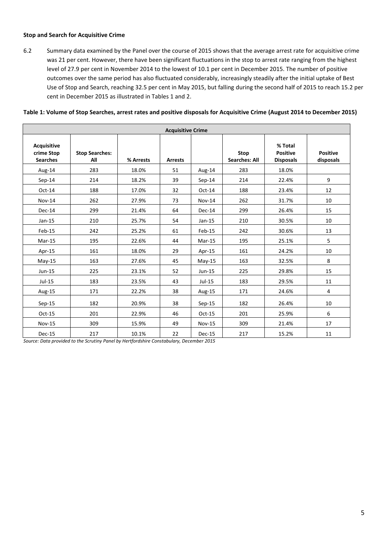#### **Stop and Search for Acquisitive Crime**

6.2 Summary data examined by the Panel over the course of 2015 shows that the average arrest rate for acquisitive crime was 21 per cent. However, there have been significant fluctuations in the stop to arrest rate ranging from the highest level of 27.9 per cent in November 2014 to the lowest of 10.1 per cent in December 2015. The number of positive outcomes over the same period has also fluctuated considerably, increasingly steadily after the initial uptake of Best Use of Stop and Search, reaching 32.5 per cent in May 2015, but falling during the second half of 2015 to reach 15.2 per cent in December 2015 as illustrated in Tables 1 and 2.

## **Table 1: Volume of Stop Searches, arrest rates and positive disposals for Acquisitive Crime (August 2014 to December 2015)**

| <b>Acquisitive Crime</b>                     |                              |           |                |               |                              |                                                |                              |  |
|----------------------------------------------|------------------------------|-----------|----------------|---------------|------------------------------|------------------------------------------------|------------------------------|--|
| Acquisitive<br>crime Stop<br><b>Searches</b> | <b>Stop Searches:</b><br>All | % Arrests | <b>Arrests</b> |               | Stop<br><b>Searches: All</b> | % Total<br><b>Positive</b><br><b>Disposals</b> | <b>Positive</b><br>disposals |  |
| Aug-14                                       | 283                          | 18.0%     | 51             | Aug-14        | 283                          | 18.0%                                          |                              |  |
| $Sep-14$                                     | 214                          | 18.2%     | 39             | $Sep-14$      | 214                          | 22.4%                                          | 9                            |  |
| $Oct-14$                                     | 188                          | 17.0%     | 32             | $Oct-14$      | 188                          | 23.4%                                          | 12                           |  |
| <b>Nov-14</b>                                | 262                          | 27.9%     | 73             | $Nov-14$      | 262                          | 31.7%                                          | 10                           |  |
| Dec-14                                       | 299                          | 21.4%     | 64             | $Dec-14$      | 299                          | 26.4%                                          | 15                           |  |
| $Jan-15$                                     | 210                          | 25.7%     | 54             | $Jan-15$      | 210                          | 30.5%                                          | 10                           |  |
| Feb-15                                       | 242                          | 25.2%     | 61             | Feb-15        | 242                          | 30.6%                                          | 13                           |  |
| $Mar-15$                                     | 195                          | 22.6%     | 44             | $Mar-15$      | 195                          | 25.1%                                          | 5                            |  |
| Apr-15                                       | 161                          | 18.0%     | 29             | Apr-15        | 161                          | 24.2%                                          | 10                           |  |
| $May-15$                                     | 163                          | 27.6%     | 45             | $May-15$      | 163                          | 32.5%                                          | 8                            |  |
| Jun-15                                       | 225                          | 23.1%     | 52             | $Jun-15$      | 225                          | 29.8%                                          | 15                           |  |
| $Jul-15$                                     | 183                          | 23.5%     | 43             | Jul-15        | 183                          | 29.5%                                          | 11                           |  |
| Aug-15                                       | 171                          | 22.2%     | 38             | Aug-15        | 171                          | 24.6%                                          | $\overline{4}$               |  |
| $Sep-15$                                     | 182                          | 20.9%     | 38             | $Sep-15$      | 182                          | 26.4%                                          | 10                           |  |
| Oct-15                                       | 201                          | 22.9%     | 46             | $Oct-15$      | 201                          | 25.9%                                          | 6                            |  |
| <b>Nov-15</b>                                | 309                          | 15.9%     | 49             | <b>Nov-15</b> | 309                          | 21.4%                                          | 17                           |  |
| Dec-15                                       | 217                          | 10.1%     | 22             | Dec-15        | 217                          | 15.2%                                          | 11                           |  |

*Source: Data provided to the Scrutiny Panel by Hertfordshire Constabulary, December 2015*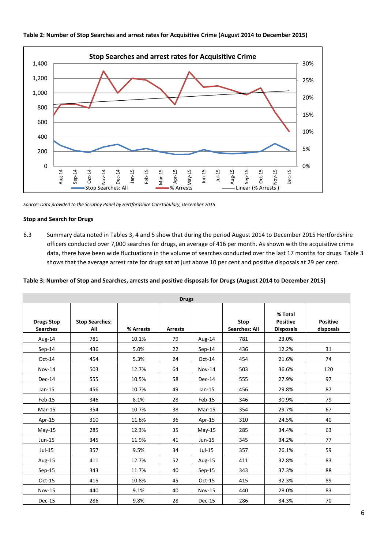

**Table 2: Number of Stop Searches and arrest rates for Acquisitive Crime (August 2014 to December 2015)**

*Source: Data provided to the Scrutiny Panel by Hertfordshire Constabulary, December 2015*

# **Stop and Search for Drugs**

6.3 Summary data noted in Tables 3, 4 and 5 show that during the period August 2014 to December 2015 Hertfordshire officers conducted over 7,000 searches for drugs, an average of 416 per month. As shown with the acquisitive crime data, there have been wide fluctuations in the volume of searches conducted over the last 17 months for drugs. Table 3 shows that the average arrest rate for drugs sat at just above 10 per cent and positive disposals at 29 per cent.

|  |  | Table 3: Number of Stop and Searches, arrests and positive disposals for Drugs (August 2014 to December 2015) |
|--|--|---------------------------------------------------------------------------------------------------------------|
|--|--|---------------------------------------------------------------------------------------------------------------|

| <b>Drugs</b>                         |                              |           |                |               |                                     |                                                |                              |
|--------------------------------------|------------------------------|-----------|----------------|---------------|-------------------------------------|------------------------------------------------|------------------------------|
| <b>Drugs Stop</b><br><b>Searches</b> | <b>Stop Searches:</b><br>All | % Arrests | <b>Arrests</b> |               | <b>Stop</b><br><b>Searches: All</b> | % Total<br><b>Positive</b><br><b>Disposals</b> | <b>Positive</b><br>disposals |
| Aug-14                               | 781                          | 10.1%     | 79             | Aug-14        | 781                                 | 23.0%                                          |                              |
| $Sep-14$                             | 436                          | 5.0%      | 22             | $Sep-14$      | 436                                 | 12.2%                                          | 31                           |
| Oct-14                               | 454                          | 5.3%      | 24             | $Oct-14$      | 454                                 | 21.6%                                          | 74                           |
| $Nov-14$                             | 503                          | 12.7%     | 64             | Nov-14        | 503                                 | 36.6%                                          | 120                          |
| $Dec-14$                             | 555                          | 10.5%     | 58             | Dec-14        | 555                                 | 27.9%                                          | 97                           |
| $Jan-15$                             | 456                          | 10.7%     | 49             | $Jan-15$      | 456                                 | 29.8%                                          | 87                           |
| Feb-15                               | 346                          | 8.1%      | 28             | Feb-15        | 346                                 | 30.9%                                          | 79                           |
| $Mar-15$                             | 354                          | 10.7%     | 38             | $Mar-15$      | 354                                 | 29.7%                                          | 67                           |
| Apr-15                               | 310                          | 11.6%     | 36             | Apr-15        | 310                                 | 24.5%                                          | 40                           |
| $May-15$                             | 285                          | 12.3%     | 35             | $May-15$      | 285                                 | 34.4%                                          | 63                           |
| Jun-15                               | 345                          | 11.9%     | 41             | $Jun-15$      | 345                                 | 34.2%                                          | 77                           |
| $Jul-15$                             | 357                          | 9.5%      | 34             | Jul-15        | 357                                 | 26.1%                                          | 59                           |
| Aug-15                               | 411                          | 12.7%     | 52             | Aug-15        | 411                                 | 32.8%                                          | 83                           |
| Sep-15                               | 343                          | 11.7%     | 40             | Sep-15        | 343                                 | 37.3%                                          | 88                           |
| $Oct-15$                             | 415                          | 10.8%     | 45             | $Oct-15$      | 415                                 | 32.3%                                          | 89                           |
| <b>Nov-15</b>                        | 440                          | 9.1%      | 40             | <b>Nov-15</b> | 440                                 | 28.0%                                          | 83                           |
| Dec-15                               | 286                          | 9.8%      | 28             | Dec-15        | 286                                 | 34.3%                                          | 70                           |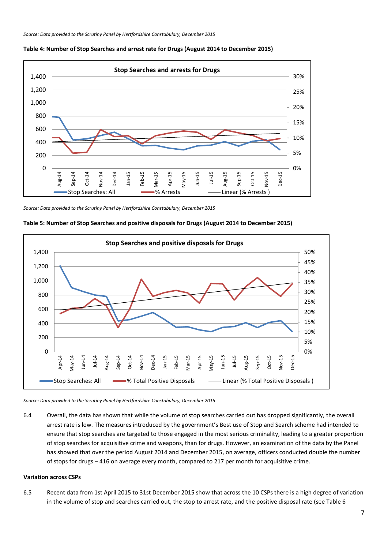

#### **Table 4: Number of Stop Searches and arrest rate for Drugs (August 2014 to December 2015)**

*Source: Data provided to the Scrutiny Panel by Hertfordshire Constabulary, December 2015*



**Table 5: Number of Stop Searches and positive disposals for Drugs (August 2014 to December 2015)**

*Source: Data provided to the Scrutiny Panel by Hertfordshire Constabulary, December 2015*

6.4 Overall, the data has shown that while the volume of stop searches carried out has dropped significantly, the overall arrest rate is low. The measures introduced by the government's Best use of Stop and Search scheme had intended to ensure that stop searches are targeted to those engaged in the most serious criminality, leading to a greater proportion of stop searches for acquisitive crime and weapons, than for drugs. However, an examination of the data by the Panel has showed that over the period August 2014 and December 2015, on average, officers conducted double the number of stops for drugs – 416 on average every month, compared to 217 per month for acquisitive crime.

#### **Variation across CSPs**

6.5 Recent data from 1st April 2015 to 31st December 2015 show that across the 10 CSPs there is a high degree of variation in the volume of stop and searches carried out, the stop to arrest rate, and the positive disposal rate (see Table 6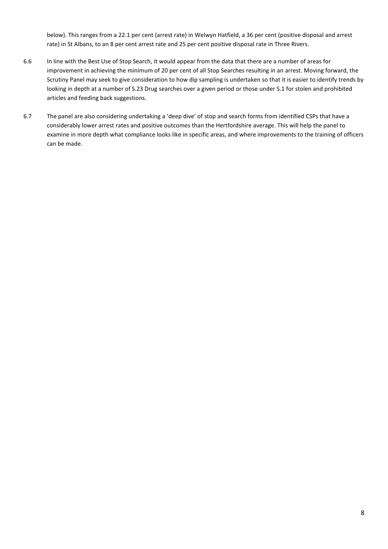below). This ranges from a 22.1 per cent (arrest rate) in Welwyn Hatfield, a 36 per cent (positive disposal and arrest rate) in St Albans, to an 8 per cent arrest rate and 25 per cent positive disposal rate in Three Rivers.

- 6.6 In line with the Best Use of Stop Search, it would appear from the data that there are a number of areas for improvement in achieving the minimum of 20 per cent of all Stop Searches resulting in an arrest. Moving forward, the Scrutiny Panel may seek to give consideration to how dip sampling is undertaken so that it is easier to identify trends by looking in depth at a number of S.23 Drug searches over a given period or those under S.1 for stolen and prohibited articles and feeding back suggestions.
- 6.7 The panel are also considering undertaking a 'deep dive' of stop and search forms from identified CSPs that have a considerably lower arrest rates and positive outcomes than the Hertfordshire average. This will help the panel to examine in more depth what compliance looks like in specific areas, and where improvements to the training of officers can be made.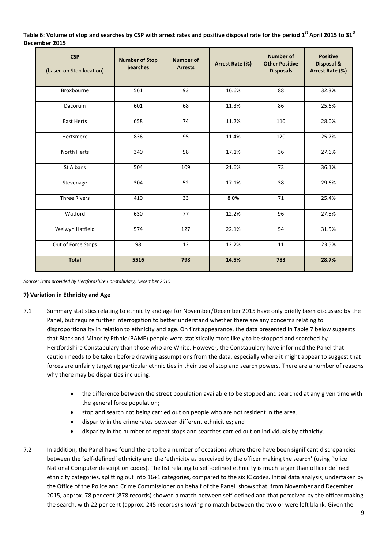**Table 6: Volume of stop and searches by CSP with arrest rates and positive disposal rate for the period 1 st April 2015 to 31st December 2015**

| <b>CSP</b><br>(based on Stop location) | <b>Number of Stop</b><br><b>Searches</b> | <b>Number of</b><br><b>Arrests</b> | Arrest Rate (%) | <b>Number of</b><br><b>Other Positive</b><br><b>Disposals</b> | <b>Positive</b><br>Disposal &<br>Arrest Rate (%) |
|----------------------------------------|------------------------------------------|------------------------------------|-----------------|---------------------------------------------------------------|--------------------------------------------------|
| Broxbourne                             | 561                                      | 93                                 | 16.6%           | 88                                                            | 32.3%                                            |
| Dacorum                                | 601                                      | 68                                 | 11.3%           | 86                                                            | 25.6%                                            |
| <b>East Herts</b>                      | 658                                      | 74                                 | 11.2%           | 110                                                           | 28.0%                                            |
| Hertsmere                              | 836                                      | 95                                 | 11.4%           | 120                                                           | 25.7%                                            |
| <b>North Herts</b>                     | 340                                      | 58                                 | 17.1%           | 36                                                            | 27.6%                                            |
| St Albans                              | 504                                      | 109                                | 21.6%           | 73                                                            | 36.1%                                            |
| Stevenage                              | 304                                      | 52                                 | 17.1%           | 38                                                            | 29.6%                                            |
| <b>Three Rivers</b>                    | 410                                      | 33                                 | 8.0%            | 71                                                            | 25.4%                                            |
| Watford                                | 630                                      | 77                                 | 12.2%           | 96                                                            | 27.5%                                            |
| Welwyn Hatfield                        | 574                                      | 127                                | 22.1%           | 54                                                            | 31.5%                                            |
| Out of Force Stops                     | 98                                       | 12                                 | 12.2%           | 11                                                            | 23.5%                                            |
| <b>Total</b>                           | 5516                                     | 798                                | 14.5%           | 783                                                           | 28.7%                                            |

*Source: Data provided by Hertfordshire Constabulary, December 2015*

## **7) Variation in Ethnicity and Age**

- 7.1 Summary statistics relating to ethnicity and age for November/December 2015 have only briefly been discussed by the Panel, but require further interrogation to better understand whether there are any concerns relating to disproportionality in relation to ethnicity and age. On first appearance, the data presented in Table 7 below suggests that Black and Minority Ethnic (BAME) people were statistically more likely to be stopped and searched by Hertfordshire Constabulary than those who are White. However, the Constabulary have informed the Panel that caution needs to be taken before drawing assumptions from the data, especially where it might appear to suggest that forces are unfairly targeting particular ethnicities in their use of stop and search powers. There are a number of reasons why there may be disparities including:
	- the difference between the street population available to be stopped and searched at any given time with the general force population;
	- stop and search not being carried out on people who are not resident in the area;
	- disparity in the crime rates between different ethnicities; and
	- disparity in the number of repeat stops and searches carried out on individuals by ethnicity.
- 7.2 In addition, the Panel have found there to be a number of occasions where there have been significant discrepancies between the 'self-defined' ethnicity and the 'ethnicity as perceived by the officer making the search' (using Police National Computer description codes). The list relating to self-defined ethnicity is much larger than officer defined ethnicity categories, splitting out into 16+1 categories, compared to the six IC codes. Initial data analysis, undertaken by the Office of the Police and Crime Commissioner on behalf of the Panel, shows that, from November and December 2015, approx. 78 per cent (878 records) showed a match between self-defined and that perceived by the officer making the search, with 22 per cent (approx. 245 records) showing no match between the two or were left blank. Given the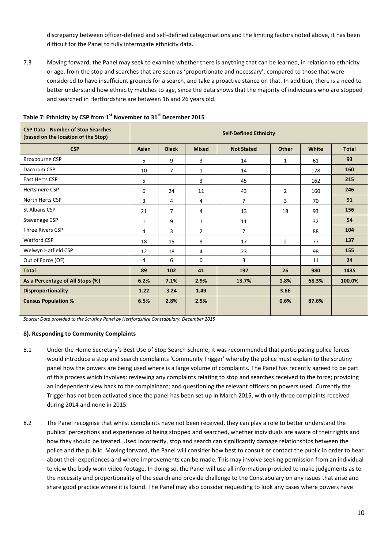discrepancy between officer-defined and self-defined categorisations and the limiting factors noted above, it has been difficult for the Panel to fully interrogate ethnicity data.

7.3 Moving forward, the Panel may seek to examine whether there is anything that can be learned, in relation to ethnicity or age, from the stop and searches that are seen as 'proportionate and necessary', compared to those that were considered to have insufficient grounds for a search, and take a proactive stance on that. In addition, there is a need to better understand how ethnicity matches to age, since the data shows that the majority of individuals who are stopped and searched in Hertfordshire are between 16 and 26 years old.

| <b>CSP Data - Number of Stop Searches</b><br>(based on the location of the Stop) | <b>Self-Defined Ethnicity</b> |                |                |                   |                |       |              |  |  |
|----------------------------------------------------------------------------------|-------------------------------|----------------|----------------|-------------------|----------------|-------|--------------|--|--|
| <b>CSP</b>                                                                       | Asian                         | <b>Black</b>   | <b>Mixed</b>   | <b>Not Stated</b> | <b>Other</b>   | White | <b>Total</b> |  |  |
| <b>Broxbourne CSP</b>                                                            | 5                             | 9              | 3              | 14                | $\mathbf{1}$   | 61    | 93           |  |  |
| Dacorum CSP                                                                      | 10                            | $\overline{7}$ | $\mathbf{1}$   | 14                |                | 128   | 160          |  |  |
| East Herts CSP                                                                   | 5                             |                | 3              | 45                |                | 162   | 215          |  |  |
| Hertsmere CSP                                                                    | 6                             | 24             | 11             | 43                | $\overline{2}$ | 160   | 246          |  |  |
| North Herts CSP                                                                  | 3                             | 4              | 4              | $\overline{7}$    | 3              | 70    | 91           |  |  |
| St Albans CSP                                                                    | 21                            | $\overline{7}$ | 4              | 13                | 18             | 93    | 156          |  |  |
| Stevenage CSP                                                                    | 1                             | 9              | 1              | 11                |                | 32    | 54           |  |  |
| Three Rivers CSP                                                                 | 4                             | 3              | $\overline{2}$ | $\overline{7}$    |                | 88    | 104          |  |  |
| <b>Watford CSP</b>                                                               | 18                            | 15             | 8              | 17                | $\overline{2}$ | 77    | 137          |  |  |
| Welwyn Hatfield CSP                                                              | 12                            | 18             | 4              | 23                |                | 98    | 155          |  |  |
| Out of Force (OF)                                                                | 4                             | 6              | $\Omega$       | 3                 |                | 11    | 24           |  |  |
| <b>Total</b>                                                                     | 89                            | 102            | 41             | 197               | 26             | 980   | 1435         |  |  |
| As a Percentage of All Stops (%)                                                 | 6.2%                          | 7.1%           | 2.9%           | 13.7%             | 1.8%           | 68.3% | 100.0%       |  |  |
| <b>Disproportionality</b>                                                        | 1.22                          | 3.24           | 1.49           |                   | 3.66           |       |              |  |  |
| <b>Census Population %</b>                                                       | 6.5%                          | 2.8%           | 2.5%           |                   | 0.6%           | 87.6% |              |  |  |

# **Table 7: Ethnicity by CSP from 1st November to 31st December 2015**

*Source: Data provided to the Scrutiny Panel by Hertfordshire Constabulary, December 2015*

#### **8). Responding to Community Complaints**

- 8.1 Under the Home Secretary's Best Use of Stop Search Scheme, it was recommended that participating police forces would introduce a stop and search complaints 'Community Trigger' whereby the police must explain to the scrutiny panel how the powers are being used where is a large volume of complaints. The Panel has recently agreed to be part of this process which involves: reviewing any complaints relating to stop and searches received to the force; providing an independent view back to the complainant; and questioning the relevant officers on powers used. Currently the Trigger has not been activated since the panel has been set up in March 2015, with only three complaints received during 2014 and none in 2015.
- 8.2 The Panel recognise that whilst complaints have not been received, they can play a role to better understand the publics' perceptions and experiences of being stopped and searched, whether individuals are aware of their rights and how they should be treated. Used incorrectly, stop and search can significantly damage relationships between the police and the public. Moving forward, the Panel will consider how best to consult or contact the public in order to hear about their experiences and where improvements can be made. This may involve seeking permission from an individual to view the body worn video footage. In doing so, the Panel will use all information provided to make judgements as to the necessity and proportionality of the search and provide challenge to the Constabulary on any issues that arise and share good practice where it is found. The Panel may also consider requesting to look any cases where powers have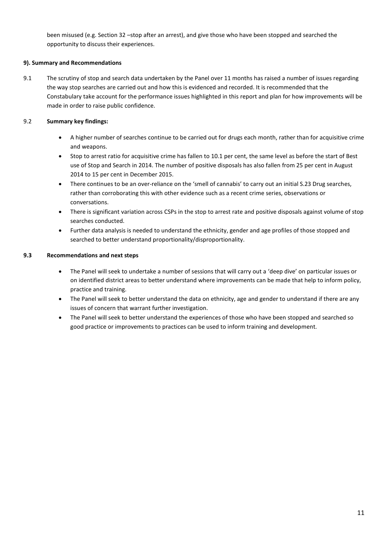been misused (e.g. Section 32 –stop after an arrest), and give those who have been stopped and searched the opportunity to discuss their experiences.

## **9). Summary and Recommendations**

9.1 The scrutiny of stop and search data undertaken by the Panel over 11 months has raised a number of issues regarding the way stop searches are carried out and how this is evidenced and recorded. It is recommended that the Constabulary take account for the performance issues highlighted in this report and plan for how improvements will be made in order to raise public confidence.

## 9.2 **Summary key findings:**

- A higher number of searches continue to be carried out for drugs each month, rather than for acquisitive crime and weapons.
- Stop to arrest ratio for acquisitive crime has fallen to 10.1 per cent, the same level as before the start of Best use of Stop and Search in 2014. The number of positive disposals has also fallen from 25 per cent in August 2014 to 15 per cent in December 2015.
- There continues to be an over-reliance on the 'smell of cannabis' to carry out an initial S.23 Drug searches, rather than corroborating this with other evidence such as a recent crime series, observations or conversations.
- There is significant variation across CSPs in the stop to arrest rate and positive disposals against volume of stop searches conducted.
- Further data analysis is needed to understand the ethnicity, gender and age profiles of those stopped and searched to better understand proportionality/disproportionality.

## **9.3 Recommendations and next steps**

- The Panel will seek to undertake a number of sessions that will carry out a 'deep dive' on particular issues or on identified district areas to better understand where improvements can be made that help to inform policy, practice and training.
- The Panel will seek to better understand the data on ethnicity, age and gender to understand if there are any issues of concern that warrant further investigation.
- The Panel will seek to better understand the experiences of those who have been stopped and searched so good practice or improvements to practices can be used to inform training and development.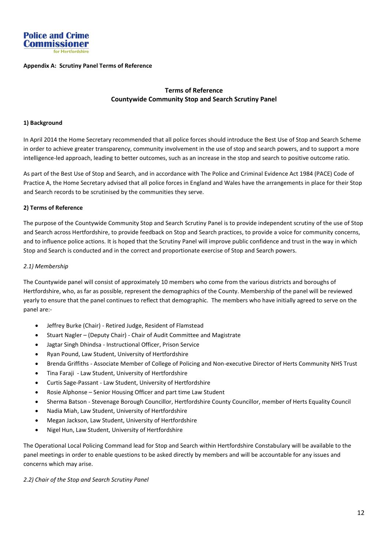

#### **Appendix A: Scrutiny Panel Terms of Reference**

# **Terms of Reference Countywide Community Stop and Search Scrutiny Panel**

#### **1) Background**

In April 2014 the Home Secretary recommended that all police forces should introduce the Best Use of Stop and Search Scheme in order to achieve greater transparency, community involvement in the use of stop and search powers, and to support a more intelligence-led approach, leading to better outcomes, such as an increase in the stop and search to positive outcome ratio.

As part of the Best Use of Stop and Search, and in accordance with The Police and Criminal Evidence Act 1984 (PACE) Code of Practice A, the Home Secretary advised that all police forces in England and Wales have the arrangements in place for their Stop and Search records to be scrutinised by the communities they serve.

#### **2) Terms of Reference**

The purpose of the Countywide Community Stop and Search Scrutiny Panel is to provide independent scrutiny of the use of Stop and Search across Hertfordshire, to provide feedback on Stop and Search practices, to provide a voice for community concerns, and to influence police actions. It is hoped that the Scrutiny Panel will improve public confidence and trust in the way in which Stop and Search is conducted and in the correct and proportionate exercise of Stop and Search powers.

#### *2.1) Membership*

The Countywide panel will consist of approximately 10 members who come from the various districts and boroughs of Hertfordshire, who, as far as possible, represent the demographics of the County. Membership of the panel will be reviewed yearly to ensure that the panel continues to reflect that demographic. The members who have initially agreed to serve on the panel are:-

- Jeffrey Burke (Chair) Retired Judge, Resident of Flamstead
- Stuart Nagler (Deputy Chair) Chair of Audit Committee and Magistrate
- Jagtar Singh Dhindsa Instructional Officer, Prison Service
- Ryan Pound, Law Student, University of Hertfordshire
- Brenda Griffiths Associate Member of College of Policing and Non-executive Director of Herts Community NHS Trust
- Tina Faraji Law Student, University of Hertfordshire
- Curtis Sage-Passant Law Student, University of Hertfordshire
- Rosie Alphonse Senior Housing Officer and part time Law Student
- Sherma Batson Stevenage Borough Councillor, Hertfordshire County Councillor, member of Herts Equality Council
- Nadia Miah, Law Student, University of Hertfordshire
- Megan Jackson, Law Student, University of Hertfordshire
- Nigel Hun, Law Student, University of Hertfordshire

The Operational Local Policing Command lead for Stop and Search within Hertfordshire Constabulary will be available to the panel meetings in order to enable questions to be asked directly by members and will be accountable for any issues and concerns which may arise.

#### *2.2) Chair of the Stop and Search Scrutiny Panel*